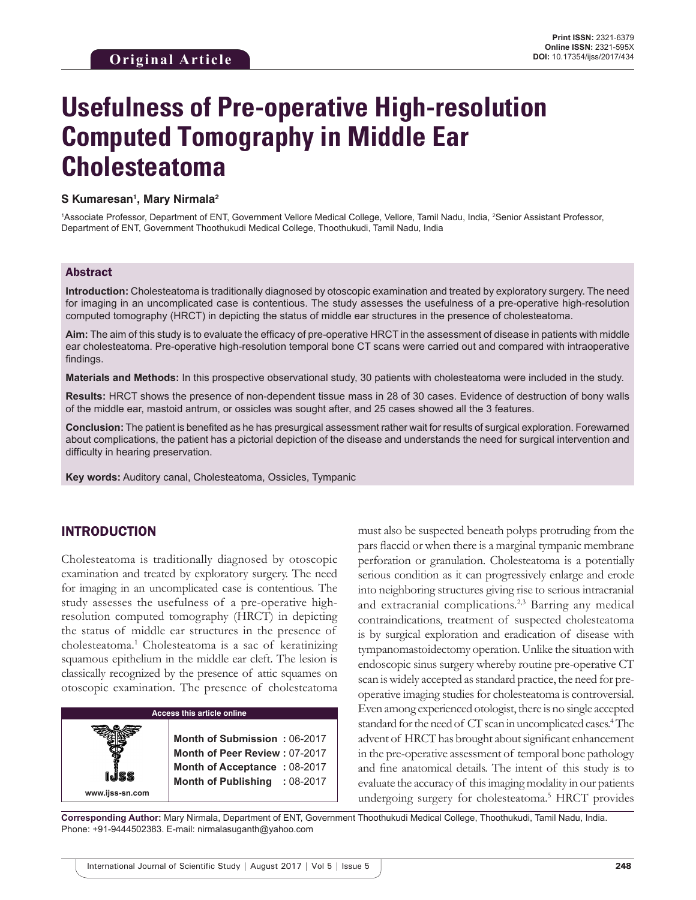# **Usefulness of Pre-operative High-resolution Computed Tomography in Middle Ear Cholesteatoma**

#### **S Kumaresan1 , Mary Nirmala2**

<sup>1</sup>Associate Professor, Department of ENT, Government Vellore Medical College, Vellore, Tamil Nadu, India, <sup>2</sup>Senior Assistant Professor, Department of ENT, Government Thoothukudi Medical College, Thoothukudi, Tamil Nadu, India

#### Abstract

**Introduction:** Cholesteatoma is traditionally diagnosed by otoscopic examination and treated by exploratory surgery. The need for imaging in an uncomplicated case is contentious. The study assesses the usefulness of a pre-operative high-resolution computed tomography (HRCT) in depicting the status of middle ear structures in the presence of cholesteatoma.

**Aim:** The aim of this study is to evaluate the efficacy of pre-operative HRCT in the assessment of disease in patients with middle ear cholesteatoma. Pre-operative high-resolution temporal bone CT scans were carried out and compared with intraoperative findings.

**Materials and Methods:** In this prospective observational study, 30 patients with cholesteatoma were included in the study.

**Results:** HRCT shows the presence of non-dependent tissue mass in 28 of 30 cases. Evidence of destruction of bony walls of the middle ear, mastoid antrum, or ossicles was sought after, and 25 cases showed all the 3 features.

**Conclusion:** The patient is benefited as he has presurgical assessment rather wait for results of surgical exploration. Forewarned about complications, the patient has a pictorial depiction of the disease and understands the need for surgical intervention and difficulty in hearing preservation.

**Key words:** Auditory canal, Cholesteatoma, Ossicles, Tympanic

## INTRODUCTION

**www.ijss-sn.com**

Cholesteatoma is traditionally diagnosed by otoscopic examination and treated by exploratory surgery. The need for imaging in an uncomplicated case is contentious. The study assesses the usefulness of a pre-operative highresolution computed tomography (HRCT) in depicting the status of middle ear structures in the presence of cholesteatoma.1 Cholesteatoma is a sac of keratinizing squamous epithelium in the middle ear cleft. The lesion is classically recognized by the presence of attic squames on otoscopic examination. The presence of cholesteatoma

| <b>Access this article online</b> |                               |            |  |
|-----------------------------------|-------------------------------|------------|--|
|                                   |                               |            |  |
|                                   | Month of Submission: 06-2017  |            |  |
|                                   | Month of Peer Review: 07-2017 |            |  |
|                                   | Month of Acceptance: 08-2017  |            |  |
|                                   | <b>Month of Publishing</b>    | $:08-2017$ |  |

must also be suspected beneath polyps protruding from the pars flaccid or when there is a marginal tympanic membrane perforation or granulation. Cholesteatoma is a potentially serious condition as it can progressively enlarge and erode into neighboring structures giving rise to serious intracranial and extracranial complications.2,3 Barring any medical contraindications, treatment of suspected cholesteatoma is by surgical exploration and eradication of disease with tympanomastoidectomy operation. Unlike the situation with endoscopic sinus surgery whereby routine pre-operative CT scan is widely accepted as standard practice, the need for preoperative imaging studies for cholesteatoma is controversial. Even among experienced otologist, there is no single accepted standard for the need of CT scan in uncomplicated cases.<sup>4</sup> The advent of HRCT has brought about significant enhancement in the pre-operative assessment of temporal bone pathology and fine anatomical details. The intent of this study is to evaluate the accuracy of this imaging modality in our patients undergoing surgery for cholesteatoma.5 HRCT provides

**Corresponding Author:** Mary Nirmala, Department of ENT, Government Thoothukudi Medical College, Thoothukudi, Tamil Nadu, India. Phone: +91-9444502383. E-mail: nirmalasuganth@yahoo.com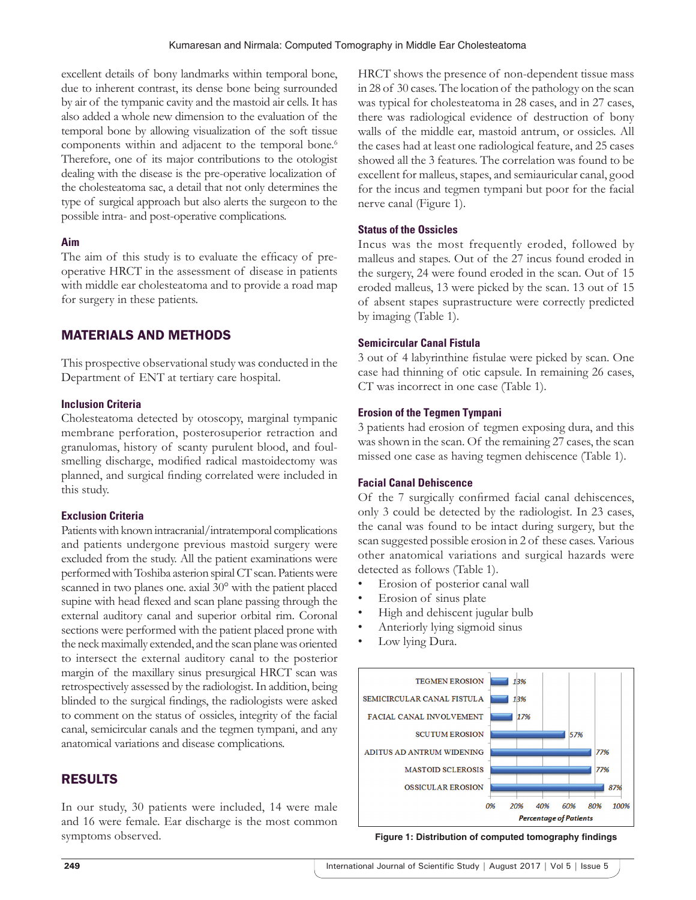excellent details of bony landmarks within temporal bone, due to inherent contrast, its dense bone being surrounded by air of the tympanic cavity and the mastoid air cells. It has also added a whole new dimension to the evaluation of the temporal bone by allowing visualization of the soft tissue components within and adjacent to the temporal bone.<sup>6</sup> Therefore, one of its major contributions to the otologist dealing with the disease is the pre-operative localization of the cholesteatoma sac, a detail that not only determines the type of surgical approach but also alerts the surgeon to the possible intra- and post-operative complications.

#### **Aim**

The aim of this study is to evaluate the efficacy of preoperative HRCT in the assessment of disease in patients with middle ear cholesteatoma and to provide a road map for surgery in these patients.

# MATERIALS AND METHODS

This prospective observational study was conducted in the Department of ENT at tertiary care hospital.

#### **Inclusion Criteria**

Cholesteatoma detected by otoscopy, marginal tympanic membrane perforation, posterosuperior retraction and granulomas, history of scanty purulent blood, and foulsmelling discharge, modified radical mastoidectomy was planned, and surgical finding correlated were included in this study.

#### **Exclusion Criteria**

Patients with known intracranial/intratemporal complications and patients undergone previous mastoid surgery were excluded from the study. All the patient examinations were performed with Toshiba asterion spiral CT scan. Patients were scanned in two planes one. axial 30° with the patient placed supine with head flexed and scan plane passing through the external auditory canal and superior orbital rim. Coronal sections were performed with the patient placed prone with the neck maximally extended, and the scan plane was oriented to intersect the external auditory canal to the posterior margin of the maxillary sinus presurgical HRCT scan was retrospectively assessed by the radiologist. In addition, being blinded to the surgical findings, the radiologists were asked to comment on the status of ossicles, integrity of the facial canal, semicircular canals and the tegmen tympani, and any anatomical variations and disease complications.

# RESULTS

In our study, 30 patients were included, 14 were male and 16 were female. Ear discharge is the most common symptoms observed.

HRCT shows the presence of non-dependent tissue mass in 28 of 30 cases. The location of the pathology on the scan was typical for cholesteatoma in 28 cases, and in 27 cases, there was radiological evidence of destruction of bony walls of the middle ear, mastoid antrum, or ossicles. All the cases had at least one radiological feature, and 25 cases showed all the 3 features. The correlation was found to be excellent for malleus, stapes, and semiauricular canal, good for the incus and tegmen tympani but poor for the facial nerve canal (Figure 1).

#### **Status of the Ossicles**

Incus was the most frequently eroded, followed by malleus and stapes. Out of the 27 incus found eroded in the surgery, 24 were found eroded in the scan. Out of 15 eroded malleus, 13 were picked by the scan. 13 out of 15 of absent stapes suprastructure were correctly predicted by imaging (Table 1).

#### **Semicircular Canal Fistula**

3 out of 4 labyrinthine fistulae were picked by scan. One case had thinning of otic capsule. In remaining 26 cases, CT was incorrect in one case (Table 1).

#### **Erosion of the Tegmen Tympani**

3 patients had erosion of tegmen exposing dura, and this was shown in the scan. Of the remaining 27 cases, the scan missed one case as having tegmen dehiscence (Table 1).

#### **Facial Canal Dehiscence**

Of the 7 surgically confirmed facial canal dehiscences, only 3 could be detected by the radiologist. In 23 cases, the canal was found to be intact during surgery, but the scan suggested possible erosion in 2 of these cases. Various other anatomical variations and surgical hazards were detected as follows (Table 1).

- Erosion of posterior canal wall
- Erosion of sinus plate
- High and dehiscent jugular bulb
- Anteriorly lying sigmoid sinus
- Low lying Dura.



**Figure 1: Distribution of computed tomography findings**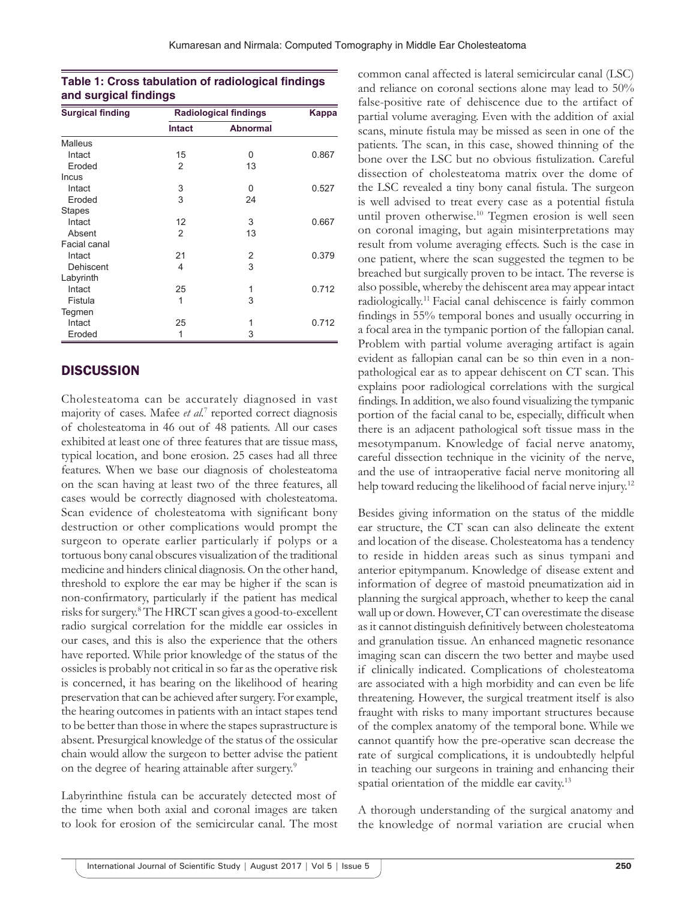#### **Table 1: Cross tabulation of radiological findings and surgical findings**

| <b>Surgical finding</b> | <b>Radiological findings</b> |                 | <b>Kappa</b> |
|-------------------------|------------------------------|-----------------|--------------|
|                         | <b>Intact</b>                | <b>Abnormal</b> |              |
| Malleus                 |                              |                 |              |
| Intact                  | 15                           | 0               | 0.867        |
| Eroded                  | 2                            | 13              |              |
| Incus                   |                              |                 |              |
| Intact                  | 3                            | 0               | 0.527        |
| Eroded                  | 3                            | 24              |              |
| <b>Stapes</b>           |                              |                 |              |
| Intact                  | 12                           | 3               | 0.667        |
| Absent                  | 2                            | 13              |              |
| Facial canal            |                              |                 |              |
| Intact                  | 21                           | 2               | 0.379        |
| Dehiscent               | 4                            | 3               |              |
| Labyrinth               |                              |                 |              |
| Intact                  | 25                           | 1               | 0.712        |
| Fistula                 | 1                            | 3               |              |
| Tegmen                  |                              |                 |              |
| Intact                  | 25                           | 1               | 0.712        |
| Eroded                  | 1                            | 3               |              |

# **DISCUSSION**

Cholesteatoma can be accurately diagnosed in vast majority of cases. Mafee et al.<sup>7</sup> reported correct diagnosis of cholesteatoma in 46 out of 48 patients. All our cases exhibited at least one of three features that are tissue mass, typical location, and bone erosion. 25 cases had all three features. When we base our diagnosis of cholesteatoma on the scan having at least two of the three features, all cases would be correctly diagnosed with cholesteatoma. Scan evidence of cholesteatoma with significant bony destruction or other complications would prompt the surgeon to operate earlier particularly if polyps or a tortuous bony canal obscures visualization of the traditional medicine and hinders clinical diagnosis. On the other hand, threshold to explore the ear may be higher if the scan is non-confirmatory, particularly if the patient has medical risks for surgery.8 The HRCT scan gives a good-to-excellent radio surgical correlation for the middle ear ossicles in our cases, and this is also the experience that the others have reported. While prior knowledge of the status of the ossicles is probably not critical in so far as the operative risk is concerned, it has bearing on the likelihood of hearing preservation that can be achieved after surgery. For example, the hearing outcomes in patients with an intact stapes tend to be better than those in where the stapes suprastructure is absent. Presurgical knowledge of the status of the ossicular chain would allow the surgeon to better advise the patient on the degree of hearing attainable after surgery.<sup>9</sup>

Labyrinthine fistula can be accurately detected most of the time when both axial and coronal images are taken to look for erosion of the semicircular canal. The most common canal affected is lateral semicircular canal (LSC) and reliance on coronal sections alone may lead to 50% false-positive rate of dehiscence due to the artifact of partial volume averaging. Even with the addition of axial scans, minute fistula may be missed as seen in one of the patients. The scan, in this case, showed thinning of the bone over the LSC but no obvious fistulization. Careful dissection of cholesteatoma matrix over the dome of the LSC revealed a tiny bony canal fistula. The surgeon is well advised to treat every case as a potential fistula until proven otherwise.<sup>10</sup> Tegmen erosion is well seen on coronal imaging, but again misinterpretations may result from volume averaging effects. Such is the case in one patient, where the scan suggested the tegmen to be breached but surgically proven to be intact. The reverse is also possible, whereby the dehiscent area may appear intact radiologically.11 Facial canal dehiscence is fairly common findings in 55% temporal bones and usually occurring in a focal area in the tympanic portion of the fallopian canal. Problem with partial volume averaging artifact is again evident as fallopian canal can be so thin even in a nonpathological ear as to appear dehiscent on CT scan. This explains poor radiological correlations with the surgical findings. In addition, we also found visualizing the tympanic portion of the facial canal to be, especially, difficult when there is an adjacent pathological soft tissue mass in the mesotympanum. Knowledge of facial nerve anatomy, careful dissection technique in the vicinity of the nerve, and the use of intraoperative facial nerve monitoring all help toward reducing the likelihood of facial nerve injury.<sup>12</sup>

Besides giving information on the status of the middle ear structure, the CT scan can also delineate the extent and location of the disease. Cholesteatoma has a tendency to reside in hidden areas such as sinus tympani and anterior epitympanum. Knowledge of disease extent and information of degree of mastoid pneumatization aid in planning the surgical approach, whether to keep the canal wall up or down. However, CT can overestimate the disease as it cannot distinguish definitively between cholesteatoma and granulation tissue. An enhanced magnetic resonance imaging scan can discern the two better and maybe used if clinically indicated. Complications of cholesteatoma are associated with a high morbidity and can even be life threatening. However, the surgical treatment itself is also fraught with risks to many important structures because of the complex anatomy of the temporal bone. While we cannot quantify how the pre-operative scan decrease the rate of surgical complications, it is undoubtedly helpful in teaching our surgeons in training and enhancing their spatial orientation of the middle ear cavity.<sup>13</sup>

A thorough understanding of the surgical anatomy and the knowledge of normal variation are crucial when